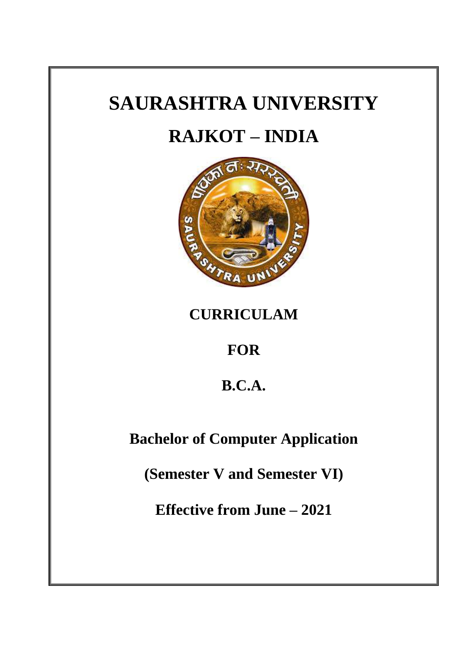# **SAURASHTRA UNIVERSITY**

# **RAJKOT – INDIA**



**CURRICULAM** 

**FOR** 

**B.C.A.**

**Bachelor of Computer Application**

**(Semester V and Semester VI)**

**Effective from June – 2021**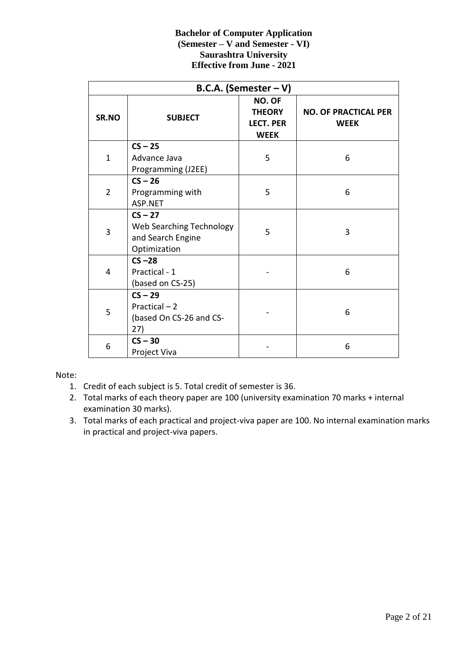|                | <b>B.C.A.</b> (Semester $-V$ )                                             |                                                                   |                                            |  |  |  |
|----------------|----------------------------------------------------------------------------|-------------------------------------------------------------------|--------------------------------------------|--|--|--|
| SR.NO          | <b>SUBJECT</b>                                                             | <b>NO. OF</b><br><b>THEORY</b><br><b>LECT. PER</b><br><b>WEEK</b> | <b>NO. OF PRACTICAL PER</b><br><b>WEEK</b> |  |  |  |
| $\mathbf{1}$   | $CS - 25$<br>Advance Java<br>Programming (J2EE)                            | 5                                                                 | 6                                          |  |  |  |
| $\overline{2}$ | $CS - 26$<br>Programming with<br>ASP.NET                                   | 5                                                                 | 6                                          |  |  |  |
| 3              | $CS - 27$<br>Web Searching Technology<br>and Search Engine<br>Optimization | 5                                                                 | 3                                          |  |  |  |
| 4              | $CS - 28$<br>Practical - 1<br>(based on CS-25)                             |                                                                   | 6                                          |  |  |  |
| 5              | $CS - 29$<br>Practical - 2<br>(based On CS-26 and CS-<br>27)               |                                                                   | 6                                          |  |  |  |
| 6              | $CS - 30$<br>Project Viva                                                  |                                                                   | 6                                          |  |  |  |

Note:

- 1. Credit of each subject is 5. Total credit of semester is 36.
- 2. Total marks of each theory paper are 100 (university examination 70 marks + internal examination 30 marks).
- 3. Total marks of each practical and project-viva paper are 100. No internal examination marks in practical and project-viva papers.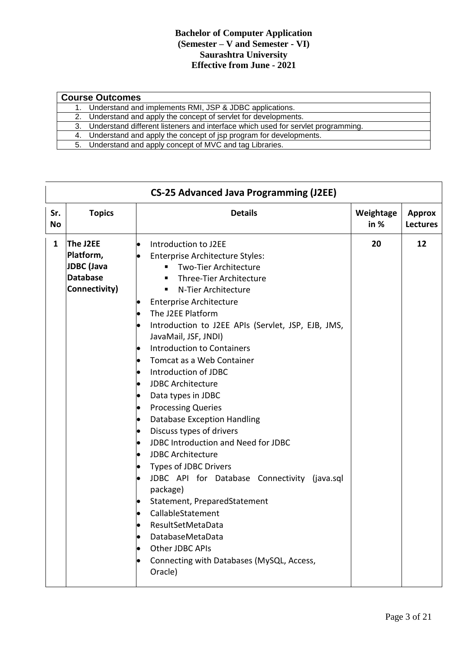| <b>Course Outcomes</b>                                                              |  |  |  |  |
|-------------------------------------------------------------------------------------|--|--|--|--|
| 1. Understand and implements RMI, JSP & JDBC applications.                          |  |  |  |  |
| 2. Understand and apply the concept of servlet for developments.                    |  |  |  |  |
| 3. Understand different listeners and interface which used for servlet programming. |  |  |  |  |
| 4. Understand and apply the concept of jsp program for developments.                |  |  |  |  |
| 5. Understand and apply concept of MVC and tag Libraries.                           |  |  |  |  |

|           |                                                                                | <b>CS-25 Advanced Java Programming (J2EE)</b>                                                                                                                                                                                                                                                                                                                                                                                                                                                                                                                                                                                                                                                                                                                                                                                                                   |                   |                                  |
|-----------|--------------------------------------------------------------------------------|-----------------------------------------------------------------------------------------------------------------------------------------------------------------------------------------------------------------------------------------------------------------------------------------------------------------------------------------------------------------------------------------------------------------------------------------------------------------------------------------------------------------------------------------------------------------------------------------------------------------------------------------------------------------------------------------------------------------------------------------------------------------------------------------------------------------------------------------------------------------|-------------------|----------------------------------|
| Sr.<br>No | <b>Topics</b>                                                                  | <b>Details</b>                                                                                                                                                                                                                                                                                                                                                                                                                                                                                                                                                                                                                                                                                                                                                                                                                                                  | Weightage<br>in % | <b>Approx</b><br><b>Lectures</b> |
| 1         | The J2EE<br>Platform,<br><b>JDBC</b> (Java<br><b>Database</b><br>Connectivity) | Introduction to J2EE<br><b>Enterprise Architecture Styles:</b><br>Two-Tier Architecture<br>Three-Tier Architecture<br>N-Tier Architecture<br>٠<br><b>Enterprise Architecture</b><br>The J2EE Platform<br>Introduction to J2EE APIs (Servlet, JSP, EJB, JMS,<br>JavaMail, JSF, JNDI)<br><b>Introduction to Containers</b><br>Tomcat as a Web Container<br>Introduction of JDBC<br><b>JDBC Architecture</b><br>Data types in JDBC<br><b>Processing Queries</b><br><b>Database Exception Handling</b><br>Discuss types of drivers<br>JDBC Introduction and Need for JDBC<br><b>JDBC Architecture</b><br>Types of JDBC Drivers<br>JDBC API for Database Connectivity (java.sql<br>package)<br>Statement, PreparedStatement<br>CallableStatement<br>ResultSetMetaData<br>DatabaseMetaData<br>Other JDBC APIs<br>Connecting with Databases (MySQL, Access,<br>Oracle) | 20                | 12                               |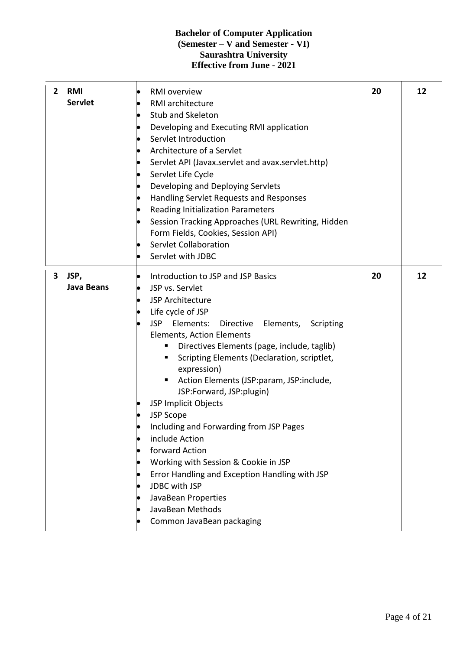| $\overline{2}$ | <b>RMI</b><br><b>Servlet</b> | <b>RMI</b> overview<br>RMI architecture<br>Stub and Skeleton<br>Developing and Executing RMI application<br>Servlet Introduction<br>Architecture of a Servlet<br>$\bullet$<br>Servlet API (Javax.servlet and avax.servlet.http)<br>$\bullet$<br>Servlet Life Cycle<br>$\bullet$<br>Developing and Deploying Servlets<br>Handling Servlet Requests and Responses<br><b>Reading Initialization Parameters</b><br>Session Tracking Approaches (URL Rewriting, Hidden<br>Form Fields, Cookies, Session API)<br>Servlet Collaboration<br>$\bullet$<br>Servlet with JDBC                                                                                                                                                                   | 20 | 12 |
|----------------|------------------------------|--------------------------------------------------------------------------------------------------------------------------------------------------------------------------------------------------------------------------------------------------------------------------------------------------------------------------------------------------------------------------------------------------------------------------------------------------------------------------------------------------------------------------------------------------------------------------------------------------------------------------------------------------------------------------------------------------------------------------------------|----|----|
| 3              | JSP,<br><b>Java Beans</b>    | Introduction to JSP and JSP Basics<br>JSP vs. Servlet<br>JSP Architecture<br>Life cycle of JSP<br>Elements:<br><b>JSP</b><br>Elements,<br>Directive<br>Scripting<br>Elements, Action Elements<br>Directives Elements (page, include, taglib)<br>Scripting Elements (Declaration, scriptlet,<br>٠<br>expression)<br>Action Elements (JSP:param, JSP:include,<br>٠<br>JSP:Forward, JSP:plugin)<br>JSP Implicit Objects<br><b>JSP Scope</b><br>Including and Forwarding from JSP Pages<br>include Action<br>forward Action<br>Working with Session & Cookie in JSP<br>$\bullet$<br>Error Handling and Exception Handling with JSP<br>JDBC with JSP<br>JavaBean Properties<br>JavaBean Methods<br>Common JavaBean packaging<br>$\bullet$ | 20 | 12 |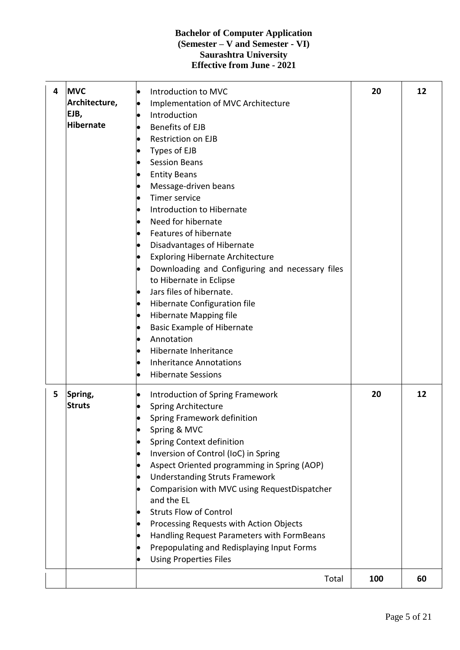| 4 | <b>MVC</b><br>Architecture,<br>EJB,<br><b>Hibernate</b> | Introduction to MVC<br>Implementation of MVC Architecture<br>Introduction<br><b>Benefits of EJB</b><br>Restriction on EJB<br>Types of EJB<br><b>Session Beans</b><br><b>Entity Beans</b><br>Message-driven beans<br>Timer service<br>Introduction to Hibernate<br>Need for hibernate<br>Features of hibernate<br>Disadvantages of Hibernate<br><b>Exploring Hibernate Architecture</b><br>Downloading and Configuring and necessary files<br>to Hibernate in Eclipse<br>Jars files of hibernate.<br>Hibernate Configuration file<br>$\bullet$<br><b>Hibernate Mapping file</b><br><b>Basic Example of Hibernate</b><br>Annotation<br>Hibernate Inheritance<br><b>Inheritance Annotations</b><br><b>Hibernate Sessions</b> | 20  | 12 |
|---|---------------------------------------------------------|---------------------------------------------------------------------------------------------------------------------------------------------------------------------------------------------------------------------------------------------------------------------------------------------------------------------------------------------------------------------------------------------------------------------------------------------------------------------------------------------------------------------------------------------------------------------------------------------------------------------------------------------------------------------------------------------------------------------------|-----|----|
| 5 | Spring,<br><b>Struts</b>                                | Introduction of Spring Framework<br>Spring Architecture<br>Spring Framework definition<br>Spring & MVC<br>Spring Context definition<br>Inversion of Control (IoC) in Spring<br>Aspect Oriented programming in Spring (AOP)<br><b>Understanding Struts Framework</b><br>Comparision with MVC using RequestDispatcher<br>and the EL<br><b>Struts Flow of Control</b><br>Processing Requests with Action Objects<br>Handling Request Parameters with FormBeans<br>Prepopulating and Redisplaying Input Forms<br><b>Using Properties Files</b>                                                                                                                                                                                | 20  | 12 |
|   |                                                         | Total                                                                                                                                                                                                                                                                                                                                                                                                                                                                                                                                                                                                                                                                                                                     | 100 | 60 |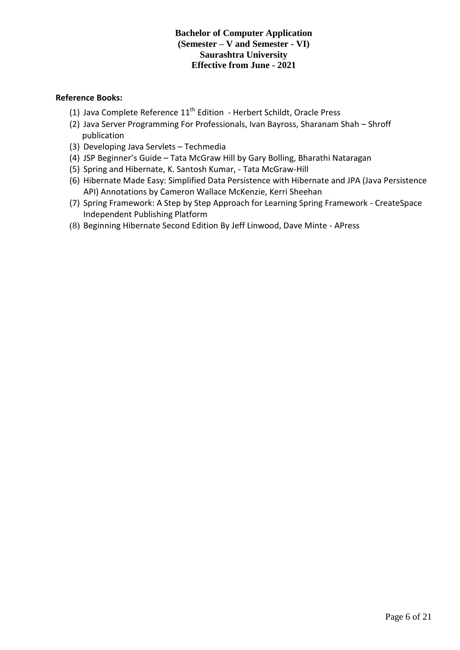#### **Reference Books:**

- (1) Java Complete Reference  $11<sup>th</sup>$  Edition Herbert Schildt, Oracle Press
- (2) Java Server Programming For Professionals, Ivan Bayross, Sharanam Shah Shroff publication
- (3) Developing Java Servlets Techmedia
- (4) JSP Beginner's Guide Tata McGraw Hill by Gary Bolling, Bharathi Nataragan
- (5) Spring and Hibernate, K. Santosh Kumar, Tata McGraw-Hill
- (6) Hibernate Made Easy: Simplified Data Persistence with Hibernate and JPA (Java Persistence API) Annotations by Cameron Wallace McKenzie, Kerri Sheehan
- (7) Spring Framework: A Step by Step Approach for Learning Spring Framework CreateSpace Independent Publishing Platform
- (8) Beginning Hibernate Second Edition By Jeff Linwood, Dave Minte APress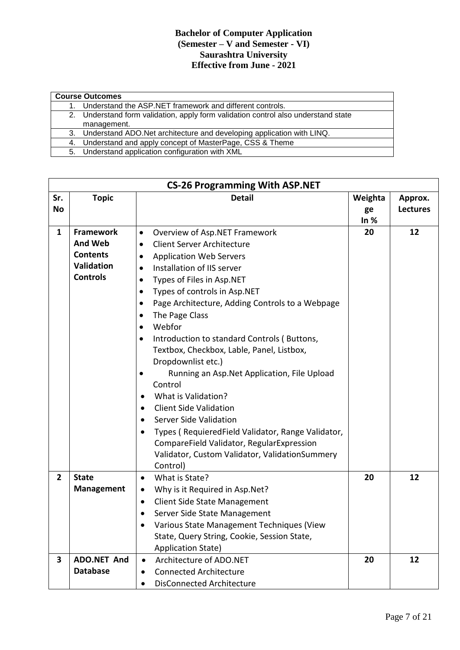| <b>Course Outcomes</b>                                                             |  |  |  |  |  |
|------------------------------------------------------------------------------------|--|--|--|--|--|
| Understand the ASP.NET framework and different controls.                           |  |  |  |  |  |
| 2. Understand form validation, apply form validation control also understand state |  |  |  |  |  |
| management.                                                                        |  |  |  |  |  |
| 3. Understand ADO. Net architecture and developing application with LINQ.          |  |  |  |  |  |
| 4. Understand and apply concept of MasterPage, CSS & Theme                         |  |  |  |  |  |
| 5. Understand application configuration with XML                                   |  |  |  |  |  |

|                  | <b>CS-26 Programming With ASP.NET</b>                                                         |                                                                                                                                                                                                                                                                                                                                                                                                                                                                                                                                                                                                                                                                                                                                                                                                                                                                           |                         |                            |  |  |
|------------------|-----------------------------------------------------------------------------------------------|---------------------------------------------------------------------------------------------------------------------------------------------------------------------------------------------------------------------------------------------------------------------------------------------------------------------------------------------------------------------------------------------------------------------------------------------------------------------------------------------------------------------------------------------------------------------------------------------------------------------------------------------------------------------------------------------------------------------------------------------------------------------------------------------------------------------------------------------------------------------------|-------------------------|----------------------------|--|--|
| Sr.<br><b>No</b> | <b>Topic</b>                                                                                  | <b>Detail</b>                                                                                                                                                                                                                                                                                                                                                                                                                                                                                                                                                                                                                                                                                                                                                                                                                                                             | Weighta<br>ge<br>In $%$ | Approx.<br><b>Lectures</b> |  |  |
| $\mathbf{1}$     | <b>Framework</b><br><b>And Web</b><br><b>Contents</b><br><b>Validation</b><br><b>Controls</b> | Overview of Asp.NET Framework<br>$\bullet$<br><b>Client Server Architecture</b><br>$\bullet$<br><b>Application Web Servers</b><br>$\bullet$<br>Installation of IIS server<br>$\bullet$<br>Types of Files in Asp.NET<br>$\bullet$<br>Types of controls in Asp.NET<br>$\bullet$<br>Page Architecture, Adding Controls to a Webpage<br>$\bullet$<br>The Page Class<br>$\bullet$<br>Webfor<br>$\bullet$<br>Introduction to standard Controls (Buttons,<br>$\bullet$<br>Textbox, Checkbox, Lable, Panel, Listbox,<br>Dropdownlist etc.)<br>Running an Asp. Net Application, File Upload<br>Control<br>What is Validation?<br><b>Client Side Validation</b><br>$\bullet$<br>Server Side Validation<br>$\bullet$<br>Types (RequieredField Validator, Range Validator,<br>CompareField Validator, RegularExpression<br>Validator, Custom Validator, ValidationSummery<br>Control) | 20                      | 12                         |  |  |
| $\overline{2}$   | <b>State</b><br><b>Management</b>                                                             | What is State?<br>$\bullet$<br>Why is it Required in Asp. Net?<br>$\bullet$<br><b>Client Side State Management</b><br>$\bullet$<br>Server Side State Management<br>Various State Management Techniques (View<br>State, Query String, Cookie, Session State,<br><b>Application State)</b>                                                                                                                                                                                                                                                                                                                                                                                                                                                                                                                                                                                  | 20                      | 12                         |  |  |
| 3                | ADO.NET And<br><b>Database</b>                                                                | Architecture of ADO.NET<br>$\bullet$<br><b>Connected Architecture</b><br>$\bullet$<br><b>DisConnected Architecture</b><br>$\bullet$                                                                                                                                                                                                                                                                                                                                                                                                                                                                                                                                                                                                                                                                                                                                       | 20                      | 12                         |  |  |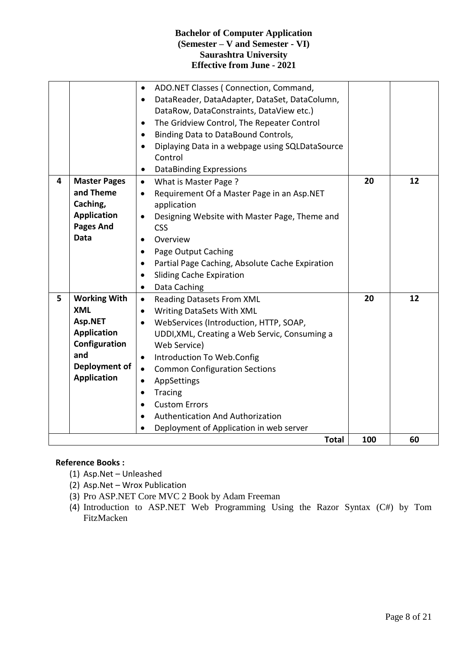|   |                                                                                                                                   | ADO.NET Classes (Connection, Command,<br>$\bullet$<br>DataReader, DataAdapter, DataSet, DataColumn,<br>$\bullet$<br>DataRow, DataConstraints, DataView etc.)<br>The Gridview Control, The Repeater Control<br>$\bullet$<br>Binding Data to DataBound Controls,<br>$\bullet$<br>Diplaying Data in a webpage using SQLDataSource<br>$\bullet$<br>Control                                                                                                                                        |     |    |
|---|-----------------------------------------------------------------------------------------------------------------------------------|-----------------------------------------------------------------------------------------------------------------------------------------------------------------------------------------------------------------------------------------------------------------------------------------------------------------------------------------------------------------------------------------------------------------------------------------------------------------------------------------------|-----|----|
| 4 | <b>Master Pages</b><br>and Theme<br>Caching,<br><b>Application</b><br><b>Pages And</b><br><b>Data</b>                             | <b>DataBinding Expressions</b><br>$\bullet$<br>What is Master Page ?<br>$\bullet$<br>Requirement Of a Master Page in an Asp.NET<br>$\bullet$<br>application<br>Designing Website with Master Page, Theme and<br>$\bullet$<br><b>CSS</b><br>Overview<br>$\bullet$<br>Page Output Caching<br>$\bullet$<br>Partial Page Caching, Absolute Cache Expiration<br>$\bullet$<br><b>Sliding Cache Expiration</b><br>$\bullet$<br>Data Caching<br>$\bullet$                                             | 20  | 12 |
| 5 | <b>Working With</b><br><b>XML</b><br>Asp.NET<br><b>Application</b><br>Configuration<br>and<br>Deployment of<br><b>Application</b> | Reading Datasets From XML<br>$\bullet$<br>Writing DataSets With XML<br>$\bullet$<br>WebServices (Introduction, HTTP, SOAP,<br>$\bullet$<br>UDDI, XML, Creating a Web Servic, Consuming a<br>Web Service)<br>Introduction To Web.Config<br>$\bullet$<br><b>Common Configuration Sections</b><br>$\bullet$<br>AppSettings<br>$\bullet$<br>Tracing<br>$\bullet$<br><b>Custom Errors</b><br>$\bullet$<br>Authentication And Authorization<br>$\bullet$<br>Deployment of Application in web server | 20  | 12 |
|   |                                                                                                                                   | <b>Total</b>                                                                                                                                                                                                                                                                                                                                                                                                                                                                                  | 100 | 60 |

# **Reference Books :**

- (1) Asp.Net Unleashed
- (2) Asp.Net Wrox Publication
- (3) Pro ASP.NET Core MVC 2 Book by Adam Freeman
- (4) Introduction to ASP.NET Web Programming Using the Razor Syntax (C#) by Tom FitzMacken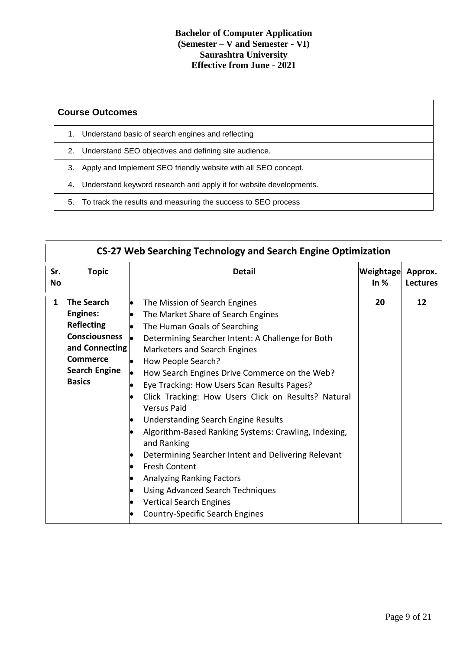# **Course Outcomes**

- 1. Understand basic of search engines and reflecting
- 2. Understand SEO objectives and defining site audience.
- 3. Apply and Implement SEO friendly website with all SEO concept.
- 4. Understand keyword research and apply it for website developments.
- 5. To track the results and measuring the success to SEO process

|                  | <b>CS-27 Web Searching Technology and Search Engine Optimization</b>                                                                                            |                                                                                                                                                                                                                                                                                                                                                                                                                                                                                                                                                                                                                                                                                                                                                                                                                                                                                                                                  |                     |                            |  |  |
|------------------|-----------------------------------------------------------------------------------------------------------------------------------------------------------------|----------------------------------------------------------------------------------------------------------------------------------------------------------------------------------------------------------------------------------------------------------------------------------------------------------------------------------------------------------------------------------------------------------------------------------------------------------------------------------------------------------------------------------------------------------------------------------------------------------------------------------------------------------------------------------------------------------------------------------------------------------------------------------------------------------------------------------------------------------------------------------------------------------------------------------|---------------------|----------------------------|--|--|
| Sr.<br><b>No</b> | <b>Topic</b>                                                                                                                                                    | <b>Detail</b>                                                                                                                                                                                                                                                                                                                                                                                                                                                                                                                                                                                                                                                                                                                                                                                                                                                                                                                    | Weightage<br>In $%$ | Approx.<br><b>Lectures</b> |  |  |
| $\mathbf{1}$     | <b>The Search</b><br><b>Engines:</b><br><b>Reflecting</b><br><b>Consciousness</b><br>and Connecting<br><b>Commerce</b><br><b>Search Engine</b><br><b>Basics</b> | The Mission of Search Engines<br> e<br>The Market Share of Search Engines<br>$\bullet$<br>The Human Goals of Searching<br>le.<br>l.<br>Determining Searcher Intent: A Challenge for Both<br>Marketers and Search Engines<br>How People Search?<br>le.<br>How Search Engines Drive Commerce on the Web?<br>þ<br>Eye Tracking: How Users Scan Results Pages?<br>$\bullet$<br>Click Tracking: How Users Click on Results? Natural<br>$\bullet$<br><b>Versus Paid</b><br><b>Understanding Search Engine Results</b><br>$\bullet$<br>Algorithm-Based Ranking Systems: Crawling, Indexing,<br>$\bullet$<br>and Ranking<br>Determining Searcher Intent and Delivering Relevant<br>$\bullet$<br><b>Fresh Content</b><br>o<br><b>Analyzing Ranking Factors</b><br>$\bullet$<br><b>Using Advanced Search Techniques</b><br>$\bullet$<br><b>Vertical Search Engines</b><br>$\bullet$<br><b>Country-Specific Search Engines</b><br>$\bullet$ | 20                  | 12                         |  |  |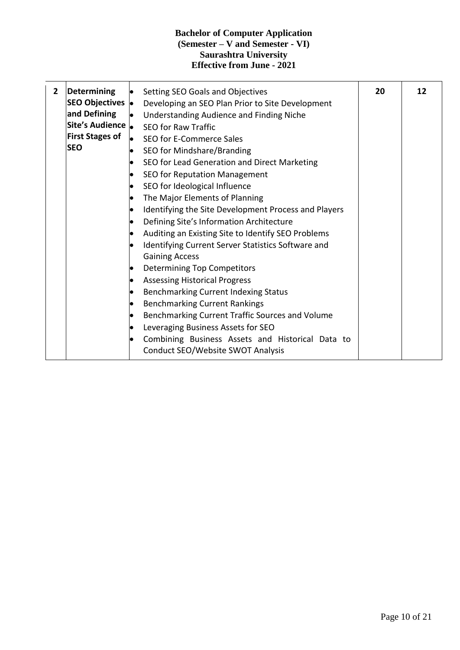| $\overline{2}$ | Determining<br>SEO Objectives  <br>and Defining<br>Site's Audience  .<br><b>First Stages of</b><br><b>SEO</b> | Setting SEO Goals and Objectives<br>Developing an SEO Plan Prior to Site Development<br>Understanding Audience and Finding Niche<br><b>SEO for Raw Traffic</b><br>SEO for E-Commerce Sales<br>SEO for Mindshare/Branding<br>SEO for Lead Generation and Direct Marketing<br>SEO for Reputation Management<br>SEO for Ideological Influence<br>The Major Elements of Planning<br>Identifying the Site Development Process and Players<br>Defining Site's Information Architecture<br>Auditing an Existing Site to Identify SEO Problems<br>Identifying Current Server Statistics Software and<br><b>Gaining Access</b><br><b>Determining Top Competitors</b><br><b>Assessing Historical Progress</b><br>Benchmarking Current Indexing Status<br><b>Benchmarking Current Rankings</b><br>Benchmarking Current Traffic Sources and Volume<br>Leveraging Business Assets for SEO<br>Combining Business Assets and Historical Data to<br>Conduct SEO/Website SWOT Analysis | 20 | 12 |
|----------------|---------------------------------------------------------------------------------------------------------------|-----------------------------------------------------------------------------------------------------------------------------------------------------------------------------------------------------------------------------------------------------------------------------------------------------------------------------------------------------------------------------------------------------------------------------------------------------------------------------------------------------------------------------------------------------------------------------------------------------------------------------------------------------------------------------------------------------------------------------------------------------------------------------------------------------------------------------------------------------------------------------------------------------------------------------------------------------------------------|----|----|
|----------------|---------------------------------------------------------------------------------------------------------------|-----------------------------------------------------------------------------------------------------------------------------------------------------------------------------------------------------------------------------------------------------------------------------------------------------------------------------------------------------------------------------------------------------------------------------------------------------------------------------------------------------------------------------------------------------------------------------------------------------------------------------------------------------------------------------------------------------------------------------------------------------------------------------------------------------------------------------------------------------------------------------------------------------------------------------------------------------------------------|----|----|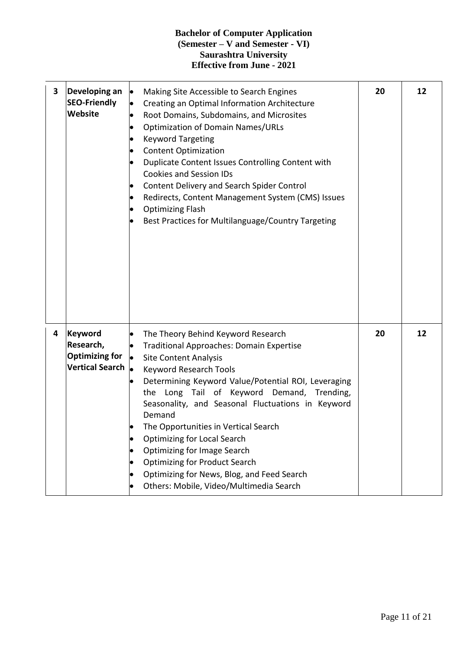| $\mathbf{3}$ | Developing an<br><b>SEO-Friendly</b><br>Website                         | Making Site Accessible to Search Engines<br>$\bullet$<br>$\bullet$<br>Creating an Optimal Information Architecture<br>Root Domains, Subdomains, and Microsites<br>$\bullet$<br><b>Optimization of Domain Names/URLs</b><br>$\bullet$<br><b>Keyword Targeting</b><br>$\bullet$<br><b>Content Optimization</b><br>Duplicate Content Issues Controlling Content with<br><b>Cookies and Session IDs</b><br>Content Delivery and Search Spider Control<br>Redirects, Content Management System (CMS) Issues<br>$\bullet$<br><b>Optimizing Flash</b><br>$\bullet$<br>Best Practices for Multilanguage/Country Targeting | 20 | 12 |
|--------------|-------------------------------------------------------------------------|-------------------------------------------------------------------------------------------------------------------------------------------------------------------------------------------------------------------------------------------------------------------------------------------------------------------------------------------------------------------------------------------------------------------------------------------------------------------------------------------------------------------------------------------------------------------------------------------------------------------|----|----|
| 4            | Keyword<br>Research,<br><b>Optimizing for</b><br><b>Vertical Search</b> | The Theory Behind Keyword Research<br>$\bullet$<br><b>Traditional Approaches: Domain Expertise</b><br> .<br><b>Site Content Analysis</b><br>$\bullet$<br><b>Keyword Research Tools</b><br>Determining Keyword Value/Potential ROI, Leveraging<br>the Long Tail of Keyword Demand, Trending,<br>Seasonality, and Seasonal Fluctuations in Keyword<br>Demand<br>The Opportunities in Vertical Search<br><b>Optimizing for Local Search</b><br><b>Optimizing for Image Search</b><br><b>Optimizing for Product Search</b><br>Optimizing for News, Blog, and Feed Search<br>Others: Mobile, Video/Multimedia Search   | 20 | 12 |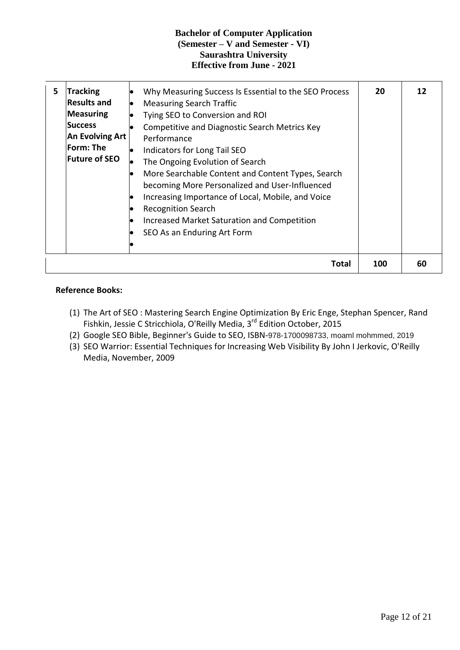| 5 | <b>Tracking</b><br><b>Results and</b><br><b>Measuring</b><br><b>Success</b><br><b>An Evolving Art</b><br><b>Form: The</b><br><b>Future of SEO</b> | Why Measuring Success Is Essential to the SEO Process<br><b>Measuring Search Traffic</b><br>$\bullet$<br>Tying SEO to Conversion and ROI<br>$\bullet$<br>Competitive and Diagnostic Search Metrics Key<br>Performance<br>Indicators for Long Tail SEO<br>lo<br>The Ongoing Evolution of Search<br>More Searchable Content and Content Types, Search<br>becoming More Personalized and User-Influenced<br>Increasing Importance of Local, Mobile, and Voice<br>$\bullet$<br><b>Recognition Search</b><br>Increased Market Saturation and Competition<br>SEO As an Enduring Art Form | 20  | 12 |
|---|---------------------------------------------------------------------------------------------------------------------------------------------------|------------------------------------------------------------------------------------------------------------------------------------------------------------------------------------------------------------------------------------------------------------------------------------------------------------------------------------------------------------------------------------------------------------------------------------------------------------------------------------------------------------------------------------------------------------------------------------|-----|----|
|   |                                                                                                                                                   | Total                                                                                                                                                                                                                                                                                                                                                                                                                                                                                                                                                                              | 100 | 60 |

# **Reference Books:**

- (1) The Art of SEO : Mastering Search Engine Optimization By Eric Enge, Stephan Spencer, Rand Fishkin, Jessie C Stricchiola, O'Reilly Media, 3<sup>rd</sup> Edition October, 2015
- (2) Google SEO Bible, Beginner's Guide to SEO, ISBN-978-1700098733, moaml mohmmed, 2019
- (3) SEO Warrior: Essential Techniques for Increasing Web Visibility By John I Jerkovic, O'Reilly Media, November, 2009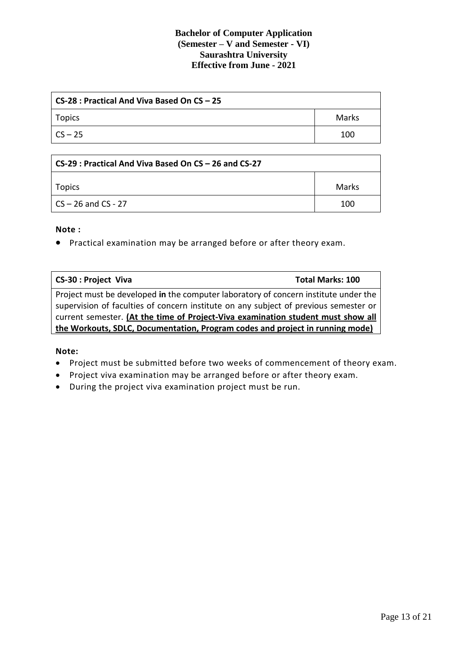| CS-28 : Practical And Viva Based On CS – 25 |       |  |
|---------------------------------------------|-------|--|
| Topics                                      | Marks |  |
| l CS – 25                                   | 100   |  |

| CS-29 : Practical And Viva Based On CS – 26 and CS-27 |       |  |
|-------------------------------------------------------|-------|--|
| Topics                                                | Marks |  |
| CS – 26 and CS - 27                                   | 100   |  |

#### **Note :**

Practical examination may be arranged before or after theory exam.

| <b>CS-30: Project Viva</b>                                                           | <b>Total Marks: 100</b> |
|--------------------------------------------------------------------------------------|-------------------------|
| Project must be developed in the computer laboratory of concern institute under the  |                         |
| supervision of faculties of concern institute on any subject of previous semester or |                         |
| current semester. (At the time of Project-Viva examination student must show all     |                         |
| the Workouts, SDLC, Documentation, Program codes and project in running mode)        |                         |

#### **Note:**

- Project must be submitted before two weeks of commencement of theory exam.
- Project viva examination may be arranged before or after theory exam.
- During the project viva examination project must be run.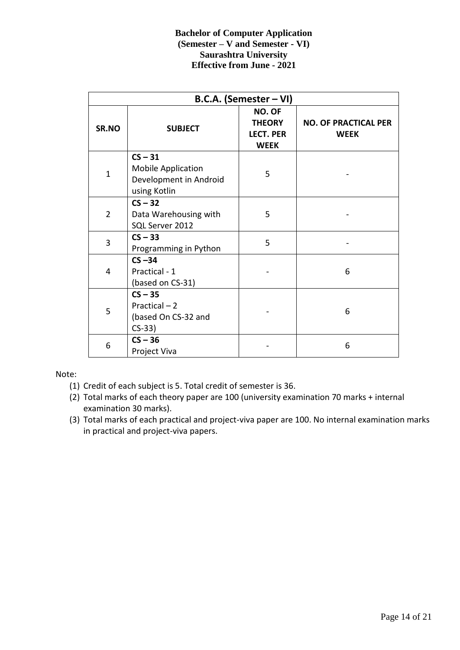| B.C.A. (Semester - VI) |                                                                                  |                                                            |                                            |  |
|------------------------|----------------------------------------------------------------------------------|------------------------------------------------------------|--------------------------------------------|--|
| SR.NO                  | <b>SUBJECT</b>                                                                   | NO. OF<br><b>THEORY</b><br><b>LECT. PER</b><br><b>WEEK</b> | <b>NO. OF PRACTICAL PER</b><br><b>WEEK</b> |  |
| $\mathbf{1}$           | $CS - 31$<br><b>Mobile Application</b><br>Development in Android<br>using Kotlin | 5                                                          |                                            |  |
| $\overline{2}$         | $CS - 32$<br>Data Warehousing with<br>SQL Server 2012                            | 5                                                          |                                            |  |
| 3                      | $CS - 33$<br>Programming in Python                                               | 5                                                          |                                            |  |
| 4                      | $CS - 34$<br>Practical - 1<br>(based on CS-31)                                   |                                                            | 6                                          |  |
| 5                      | $CS - 35$<br>Practical - 2<br>(based On CS-32 and<br>$CS-33$                     |                                                            | 6                                          |  |
| 6                      | $CS - 36$<br>Project Viva                                                        |                                                            | 6                                          |  |

Note:

- (1) Credit of each subject is 5. Total credit of semester is 36.
- (2) Total marks of each theory paper are 100 (university examination 70 marks + internal examination 30 marks).
- (3) Total marks of each practical and project-viva paper are 100. No internal examination marks in practical and project-viva papers.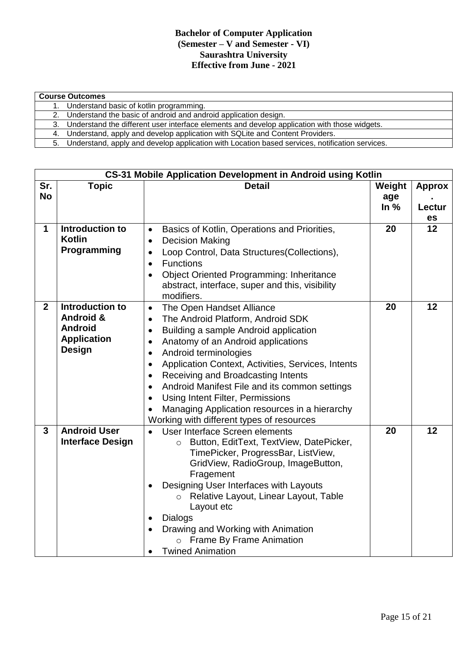| <b>Course Outcomes</b>                                                                            |
|---------------------------------------------------------------------------------------------------|
| 1. Understand basic of kotlin programming.                                                        |
| 2. Understand the basic of android and android application design.                                |
| 3. Understand the different user interface elements and develop application with those widgets.   |
| 4. Understand, apply and develop application with SQLite and Content Providers.                   |
| 5. Understand, apply and develop application with Location based services, notification services. |

|                  | <b>CS-31 Mobile Application Development in Android using Kotlin</b>                              |                                                                                                                                                                                                                                                                                                                                                                                                                                                                                                                                                                    |                         |                               |  |  |
|------------------|--------------------------------------------------------------------------------------------------|--------------------------------------------------------------------------------------------------------------------------------------------------------------------------------------------------------------------------------------------------------------------------------------------------------------------------------------------------------------------------------------------------------------------------------------------------------------------------------------------------------------------------------------------------------------------|-------------------------|-------------------------------|--|--|
| Sr.<br><b>No</b> | <b>Topic</b>                                                                                     | <b>Detail</b>                                                                                                                                                                                                                                                                                                                                                                                                                                                                                                                                                      | Weight<br>age<br>In $%$ | <b>Approx</b><br>Lectur<br>es |  |  |
| 1                | Introduction to<br><b>Kotlin</b><br>Programming                                                  | Basics of Kotlin, Operations and Priorities,<br>$\bullet$<br><b>Decision Making</b><br>$\bullet$<br>Loop Control, Data Structures(Collections),<br>$\bullet$<br><b>Functions</b><br>$\bullet$<br><b>Object Oriented Programming: Inheritance</b><br>abstract, interface, super and this, visibility<br>modifiers.                                                                                                                                                                                                                                                  | 20                      | 12                            |  |  |
| $\overline{2}$   | Introduction to<br><b>Android &amp;</b><br><b>Android</b><br><b>Application</b><br><b>Design</b> | The Open Handset Alliance<br>$\bullet$<br>The Android Platform, Android SDK<br>$\bullet$<br>Building a sample Android application<br>$\bullet$<br>Anatomy of an Android applications<br>$\bullet$<br>Android terminologies<br>٠<br>Application Context, Activities, Services, Intents<br>$\bullet$<br>Receiving and Broadcasting Intents<br>$\bullet$<br>Android Manifest File and its common settings<br>$\bullet$<br>Using Intent Filter, Permissions<br>$\bullet$<br>Managing Application resources in a hierarchy<br>Working with different types of resources | 20                      | 12                            |  |  |
| 3                | <b>Android User</b><br><b>Interface Design</b>                                                   | User Interface Screen elements<br>$\bullet$<br>Button, EditText, TextView, DatePicker,<br>$\circ$<br>TimePicker, ProgressBar, ListView,<br>GridView, RadioGroup, ImageButton,<br>Fragement<br>Designing User Interfaces with Layouts<br>Relative Layout, Linear Layout, Table<br>$\circ$<br>Layout etc<br>Dialogs<br>Drawing and Working with Animation<br>$\bullet$<br><b>Frame By Frame Animation</b><br>$\circ$<br><b>Twined Animation</b>                                                                                                                      | 20                      | 12                            |  |  |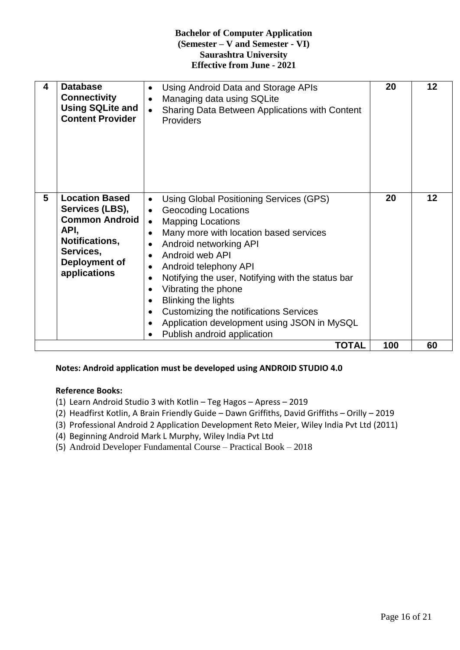| 4 | <b>Database</b><br><b>Connectivity</b><br><b>Using SQLite and</b><br><b>Content Provider</b>                                              | Using Android Data and Storage APIs<br>$\bullet$<br>Managing data using SQLite<br>٠<br>Sharing Data Between Applications with Content<br>$\bullet$<br>Providers                                                                                                                                                                                                                                                                                                               | 20  | $12 \overline{ }$ |
|---|-------------------------------------------------------------------------------------------------------------------------------------------|-------------------------------------------------------------------------------------------------------------------------------------------------------------------------------------------------------------------------------------------------------------------------------------------------------------------------------------------------------------------------------------------------------------------------------------------------------------------------------|-----|-------------------|
| 5 | <b>Location Based</b><br>Services (LBS),<br><b>Common Android</b><br>API,<br>Notifications,<br>Services,<br>Deployment of<br>applications | Using Global Positioning Services (GPS)<br>$\bullet$<br><b>Geocoding Locations</b><br>$\bullet$<br><b>Mapping Locations</b><br>Many more with location based services<br>Android networking API<br>Android web API<br>Android telephony API<br>Notifying the user, Notifying with the status bar<br>Vibrating the phone<br><b>Blinking the lights</b><br>Customizing the notifications Services<br>Application development using JSON in MySQL<br>Publish android application | 20  | 12                |
|   |                                                                                                                                           | <b>TOTAL</b>                                                                                                                                                                                                                                                                                                                                                                                                                                                                  | 100 | 60                |

# **Notes: Android application must be developed using ANDROID STUDIO 4.0**

#### **Reference Books:**

- (1) Learn Android Studio 3 with Kotlin Teg Hagos Apress 2019
- (2) Headfirst Kotlin, A Brain Friendly Guide Dawn Griffiths, David Griffiths Orilly 2019
- (3) Professional Android 2 Application Development Reto Meier, Wiley India Pvt Ltd (2011)
- (4) Beginning Android Mark L Murphy, Wiley India Pvt Ltd
- (5) Android Developer Fundamental Course Practical Book 2018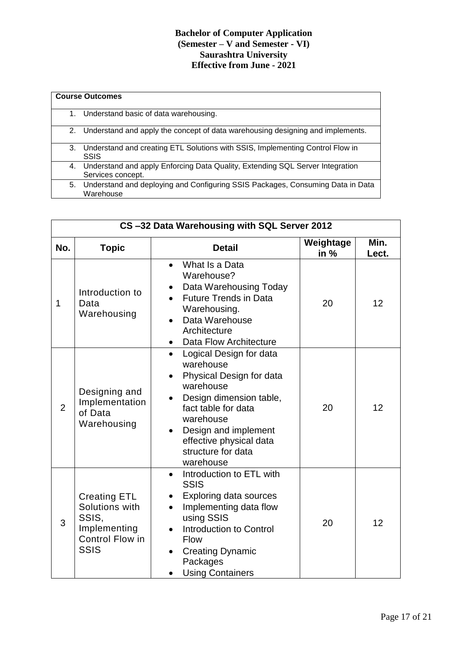|    | <b>Course Outcomes</b>                                                                                |
|----|-------------------------------------------------------------------------------------------------------|
| 1. | Understand basic of data warehousing.                                                                 |
|    | 2. Understand and apply the concept of data warehousing designing and implements.                     |
|    | 3. Understand and creating ETL Solutions with SSIS, Implementing Control Flow in<br>SSIS              |
|    | 4. Understand and apply Enforcing Data Quality, Extending SQL Server Integration<br>Services concept. |
|    | 5. Understand and deploying and Configuring SSIS Packages, Consuming Data in Data<br>Warehouse        |

| CS-32 Data Warehousing with SQL Server 2012 |                                                                                           |                                                                                                                                                                                                                                                                                        |                     |               |  |
|---------------------------------------------|-------------------------------------------------------------------------------------------|----------------------------------------------------------------------------------------------------------------------------------------------------------------------------------------------------------------------------------------------------------------------------------------|---------------------|---------------|--|
| No.                                         | <b>Topic</b>                                                                              | <b>Detail</b>                                                                                                                                                                                                                                                                          | Weightage<br>in $%$ | Min.<br>Lect. |  |
| 1                                           | Introduction to<br>Data<br>Warehousing                                                    | What Is a Data<br>$\bullet$<br>Warehouse?<br>Data Warehousing Today<br>$\bullet$<br><b>Future Trends in Data</b><br>Warehousing.<br>Data Warehouse<br>$\bullet$<br>Architecture<br>Data Flow Architecture<br>$\bullet$                                                                 | 20                  | 12            |  |
| $\overline{2}$                              | Designing and<br>Implementation<br>of Data<br>Warehousing                                 | Logical Design for data<br>$\bullet$<br>warehouse<br>Physical Design for data<br>$\bullet$<br>warehouse<br>Design dimension table,<br>$\bullet$<br>fact table for data<br>warehouse<br>Design and implement<br>$\bullet$<br>effective physical data<br>structure for data<br>warehouse | 20                  | 12            |  |
| 3                                           | <b>Creating ETL</b><br>Solutions with<br>SSIS,<br>Implementing<br>Control Flow in<br>SSIS | Introduction to ETL with<br>$\bullet$<br><b>SSIS</b><br>Exploring data sources<br>Implementing data flow<br>$\bullet$<br>using SSIS<br><b>Introduction to Control</b><br>$\bullet$<br><b>Flow</b><br><b>Creating Dynamic</b><br>Packages<br><b>Using Containers</b><br>$\bullet$       | 20                  | 12            |  |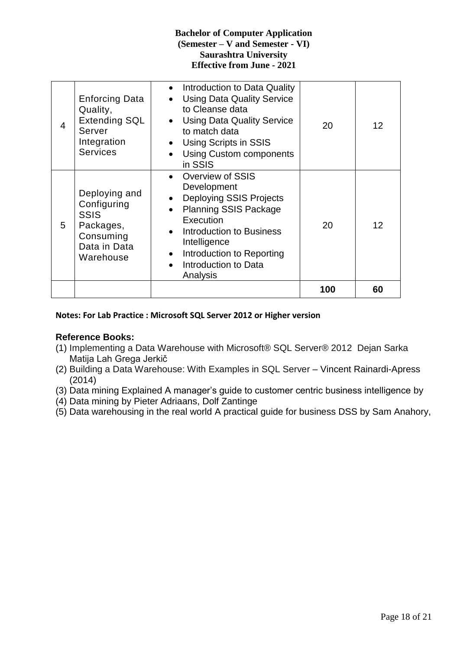|   |                                                                                                       |                                                                                                                                                                                                                                                                                          | 100 | 60 |
|---|-------------------------------------------------------------------------------------------------------|------------------------------------------------------------------------------------------------------------------------------------------------------------------------------------------------------------------------------------------------------------------------------------------|-----|----|
| 5 | Deploying and<br>Configuring<br><b>SSIS</b><br>Packages,<br>Consuming<br>Data in Data<br>Warehouse    | Overview of SSIS<br>Development<br><b>Deploying SSIS Projects</b><br>$\bullet$<br><b>Planning SSIS Package</b><br>$\bullet$<br>Execution<br>Introduction to Business<br>$\bullet$<br>Intelligence<br>Introduction to Reporting<br>$\bullet$<br>Introduction to Data<br>Analysis          | 20  | 12 |
| 4 | <b>Enforcing Data</b><br>Quality,<br><b>Extending SQL</b><br>Server<br>Integration<br><b>Services</b> | Introduction to Data Quality<br>$\bullet$<br><b>Using Data Quality Service</b><br>$\bullet$<br>to Cleanse data<br><b>Using Data Quality Service</b><br>$\bullet$<br>to match data<br><b>Using Scripts in SSIS</b><br>$\bullet$<br><b>Using Custom components</b><br>$\bullet$<br>in SSIS | 20  | 12 |

#### **Notes: For Lab Practice : Microsoft SQL Server 2012 or Higher version**

# **Reference Books:**

- (1) Implementing a Data Warehouse with Microsoft® SQL Server® 2012 Dejan Sarka Matija Lah Grega Jerkič
- (2) Building a Data Warehouse: With Examples in SQL Server Vincent Rainardi-Apress (2014)
- (3) Data mining Explained A manager's guide to customer centric business intelligence by
- (4) Data mining by Pieter Adriaans, Dolf Zantinge
- (5) Data warehousing in the real world A practical guide for business DSS by Sam Anahory,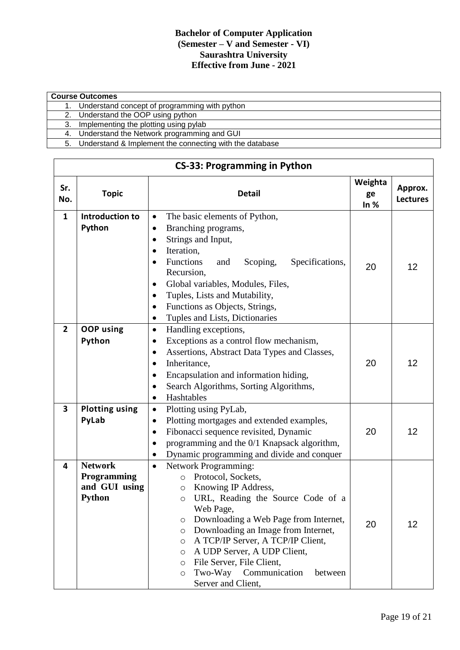|    | <b>Course Outcomes</b>                                     |  |  |  |  |
|----|------------------------------------------------------------|--|--|--|--|
|    | Understand concept of programming with python              |  |  |  |  |
|    | 2. Understand the OOP using python                         |  |  |  |  |
| 3. | Implementing the plotting using pylab                      |  |  |  |  |
|    | 4. Understand the Network programming and GUI              |  |  |  |  |
|    | 5. Understand & Implement the connecting with the database |  |  |  |  |

|                | <b>CS-33: Programming in Python</b>                             |                                                                                                                                                                                                                                                                                                                                                                                                                                                                           |                         |                            |  |  |
|----------------|-----------------------------------------------------------------|---------------------------------------------------------------------------------------------------------------------------------------------------------------------------------------------------------------------------------------------------------------------------------------------------------------------------------------------------------------------------------------------------------------------------------------------------------------------------|-------------------------|----------------------------|--|--|
| Sr.<br>No.     | <b>Topic</b>                                                    | <b>Detail</b>                                                                                                                                                                                                                                                                                                                                                                                                                                                             | Weighta<br>ge<br>In $%$ | Approx.<br><b>Lectures</b> |  |  |
| $\mathbf{1}$   | Introduction to<br>Python                                       | The basic elements of Python,<br>$\bullet$<br>Branching programs,<br>$\bullet$<br>Strings and Input,<br>$\bullet$<br>Iteration,<br>$\bullet$<br>Functions<br>Scoping,<br>Specifications,<br>and<br>$\bullet$<br>Recursion,<br>Global variables, Modules, Files,<br>$\bullet$<br>Tuples, Lists and Mutability,<br>$\bullet$<br>Functions as Objects, Strings,<br>$\bullet$<br>Tuples and Lists, Dictionaries<br>$\bullet$                                                  | 20                      | 12                         |  |  |
| $\overline{2}$ | <b>OOP</b> using<br>Python                                      | Handling exceptions,<br>$\bullet$<br>Exceptions as a control flow mechanism,<br>$\bullet$<br>Assertions, Abstract Data Types and Classes,<br>$\bullet$<br>Inheritance,<br>$\bullet$<br>Encapsulation and information hiding,<br>$\bullet$<br>Search Algorithms, Sorting Algorithms,<br>$\bullet$<br>Hashtables<br>$\bullet$                                                                                                                                               | 20                      | 12                         |  |  |
| 3              | <b>Plotting using</b><br>PyLab                                  | Plotting using PyLab,<br>$\bullet$<br>Plotting mortgages and extended examples,<br>$\bullet$<br>Fibonacci sequence revisited, Dynamic<br>$\bullet$<br>programming and the 0/1 Knapsack algorithm,<br>$\bullet$<br>Dynamic programming and divide and conquer<br>$\bullet$                                                                                                                                                                                                 | 20                      | 12                         |  |  |
| 4              | <b>Network</b><br>Programming<br>and GUI using<br><b>Python</b> | <b>Network Programming:</b><br>$\bullet$<br>Protocol, Sockets,<br>$\circ$<br>Knowing IP Address,<br>$\circ$<br>URL, Reading the Source Code of a<br>$\circ$<br>Web Page,<br>Downloading a Web Page from Internet,<br>O<br>Downloading an Image from Internet,<br>$\circ$<br>A TCP/IP Server, A TCP/IP Client,<br>$\circ$<br>A UDP Server, A UDP Client,<br>O<br>File Server, File Client,<br>$\circ$<br>Two-Way Communication<br>between<br>$\circ$<br>Server and Client, | 20                      | 12                         |  |  |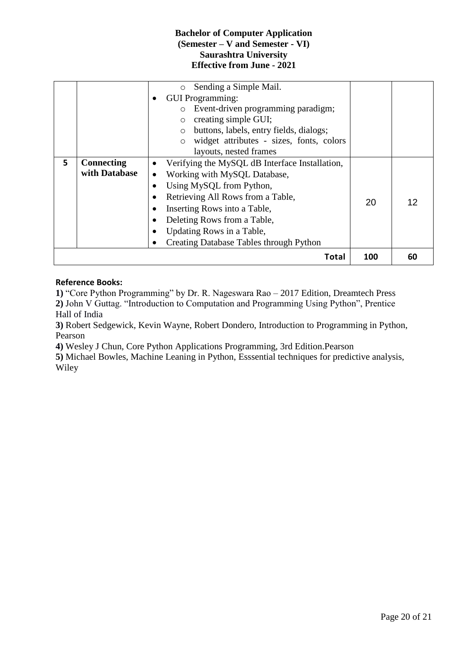|    |                   | Sending a Simple Mail.<br>$\circ$                  |     |    |
|----|-------------------|----------------------------------------------------|-----|----|
|    |                   | <b>GUI Programming:</b>                            |     |    |
|    |                   | o Event-driven programming paradigm;               |     |    |
|    |                   | creating simple GUI;<br>$\circ$                    |     |    |
|    |                   | buttons, labels, entry fields, dialogs;<br>$\circ$ |     |    |
|    |                   | widget attributes - sizes, fonts, colors           |     |    |
|    |                   | layouts, nested frames                             |     |    |
| 5. | <b>Connecting</b> | Verifying the MySQL dB Interface Installation,     |     |    |
|    | with Database     | Working with MySQL Database,                       |     |    |
|    |                   | Using MySQL from Python,                           |     |    |
|    |                   | Retrieving All Rows from a Table,                  | 20  | 12 |
|    |                   | Inserting Rows into a Table,                       |     |    |
|    |                   | Deleting Rows from a Table,                        |     |    |
|    |                   | Updating Rows in a Table,                          |     |    |
|    |                   | <b>Creating Database Tables through Python</b>     |     |    |
|    |                   | Total                                              | 100 | 60 |

# **Reference Books:**

**1)** "Core Python Programming" by Dr. R. Nageswara Rao – 2017 Edition, Dreamtech Press **2)** John V Guttag. "Introduction to Computation and Programming Using Python", Prentice Hall of India

**3)** Robert Sedgewick, Kevin Wayne, Robert Dondero, Introduction to Programming in Python, Pearson

**4)** Wesley J Chun, Core Python Applications Programming, 3rd Edition.Pearson

**5)** Michael Bowles, Machine Leaning in Python, Esssential techniques for predictive analysis, Wiley